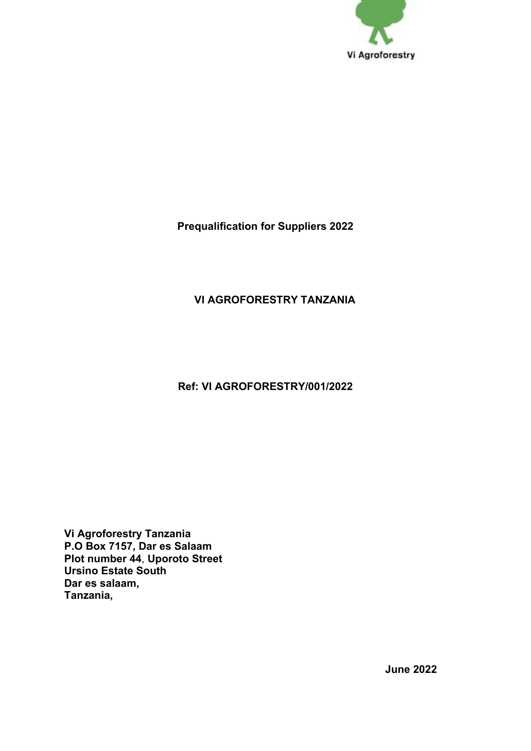

**Prequalification for Suppliers 2022**

# **VI AGROFORESTRY TANZANIA**

## **Ref: VI AGROFORESTRY/001/2022**

**Vi Agroforestry Tanzania P.O Box 7157, Dar es Salaam Plot number 44**, **Uporoto Street Ursino Estate South Dar es salaam, Tanzania,**

**June 2022**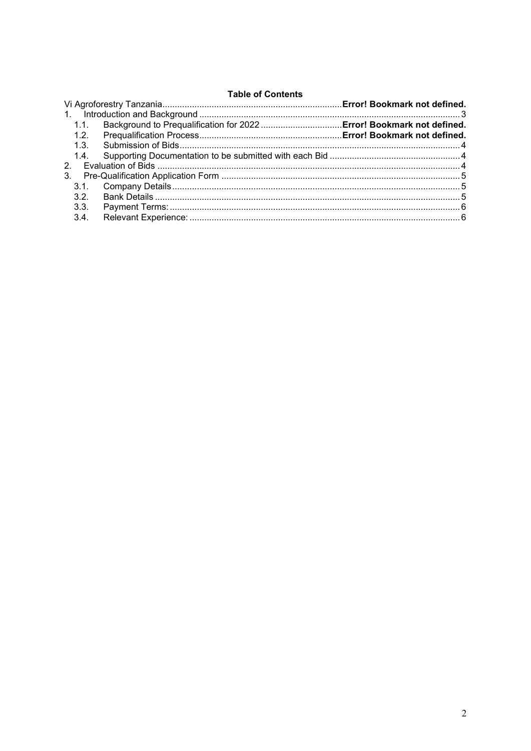### **Table of Contents**

| 1.1.          |  |  |
|---------------|--|--|
| 1.2.          |  |  |
| 1.3.          |  |  |
| 1.4.          |  |  |
| $\mathcal{P}$ |  |  |
| $3_{-}$       |  |  |
|               |  |  |
| 3.2.          |  |  |
| 3.3.          |  |  |
| 3.4.          |  |  |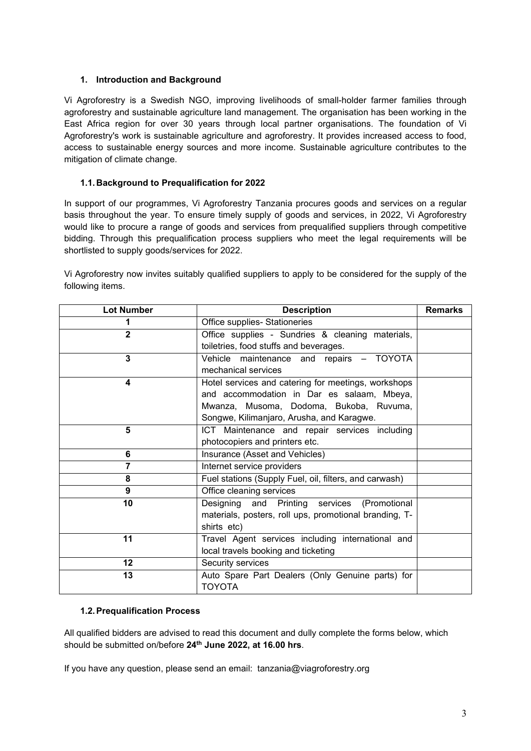### <span id="page-2-0"></span>**1. Introduction and Background**

Vi Agroforestry is a Swedish NGO, improving livelihoods of small-holder farmer families through agroforestry and sustainable agriculture land management. The organisation has been working in the East Africa region for over 30 years through local partner organisations. The foundation of Vi Agroforestry's work is sustainable agriculture and agroforestry. It provides increased access to food, access to sustainable energy sources and more income. Sustainable agriculture contributes to the mitigation of climate change.

### <span id="page-2-1"></span>**1.1. Background to Prequalification for 2022**

In support of our programmes, Vi Agroforestry Tanzania procures goods and services on a regular basis throughout the year. To ensure timely supply of goods and services, in 2022, Vi Agroforestry would like to procure a range of goods and services from prequalified suppliers through competitive bidding. Through this prequalification process suppliers who meet the legal requirements will be shortlisted to supply goods/services for 2022.

Vi Agroforestry now invites suitably qualified suppliers to apply to be considered for the supply of the following items.

| <b>Lot Number</b> | <b>Description</b>                                     |  |
|-------------------|--------------------------------------------------------|--|
| 1                 | Office supplies- Stationeries                          |  |
| $\overline{2}$    | Office supplies - Sundries & cleaning materials,       |  |
|                   | toiletries, food stuffs and beverages.                 |  |
| 3                 | Vehicle maintenance and repairs - TOYOTA               |  |
|                   | mechanical services                                    |  |
| 4                 | Hotel services and catering for meetings, workshops    |  |
|                   | and accommodation in Dar es salaam, Mbeya,             |  |
|                   | Mwanza, Musoma, Dodoma, Bukoba, Ruvuma,                |  |
|                   | Songwe, Kilimanjaro, Arusha, and Karagwe.              |  |
| 5                 | ICT Maintenance and repair services including          |  |
|                   | photocopiers and printers etc.                         |  |
| 6                 | Insurance (Asset and Vehicles)                         |  |
| $\overline{7}$    | Internet service providers                             |  |
| 8                 | Fuel stations (Supply Fuel, oil, filters, and carwash) |  |
| 9                 | Office cleaning services                               |  |
| 10                | Designing and Printing services (Promotional           |  |
|                   | materials, posters, roll ups, promotional branding, T- |  |
|                   | shirts etc)                                            |  |
| 11                | Travel Agent services including international and      |  |
|                   | local travels booking and ticketing                    |  |
| $12 \,$           | Security services                                      |  |
| 13                | Auto Spare Part Dealers (Only Genuine parts) for       |  |
|                   | <b>TOYOTA</b>                                          |  |

### <span id="page-2-2"></span>**1.2.Prequalification Process**

All qualified bidders are advised to read this document and dully complete the forms below, which should be submitted on/before **24th June 2022, at 16.00 hrs**.

If you have any question, please send an email: tanzania@viagroforestry.org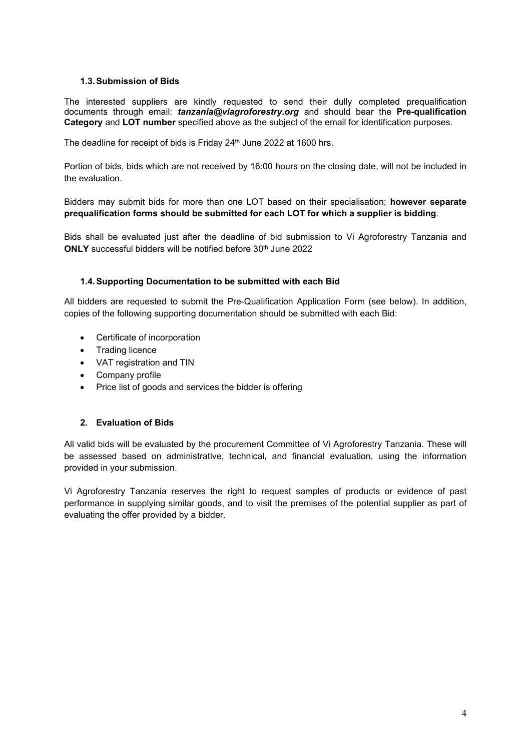### **1.3.Submission of Bids**

The interested suppliers are kindly requested to send their dully completed prequalification documents through email: *tanzania@viagroforestry.org* and should bear the **Pre-qualification Category** and **LOT number** specified above as the subject of the email for identification purposes.

The deadline for receipt of bids is Friday 24<sup>th</sup> June 2022 at 1600 hrs.

Portion of bids, bids which are not received by 16:00 hours on the closing date, will not be included in the evaluation.

Bidders may submit bids for more than one LOT based on their specialisation; **however separate prequalification forms should be submitted for each LOT for which a supplier is bidding**.

Bids shall be evaluated just after the deadline of bid submission to Vi Agroforestry Tanzania and **ONLY** successful bidders will be notified before 30<sup>th</sup> June 2022

### **1.4.Supporting Documentation to be submitted with each Bid**

All bidders are requested to submit the Pre-Qualification Application Form (see below). In addition, copies of the following supporting documentation should be submitted with each Bid:

- Certificate of incorporation
- Trading licence
- VAT registration and TIN
- Company profile
- Price list of goods and services the bidder is offering

### <span id="page-3-0"></span>**2. Evaluation of Bids**

All valid bids will be evaluated by the procurement Committee of Vi Agroforestry Tanzania. These will be assessed based on administrative, technical, and financial evaluation, using the information provided in your submission.

Vi Agroforestry Tanzania reserves the right to request samples of products or evidence of past performance in supplying similar goods, and to visit the premises of the potential supplier as part of evaluating the offer provided by a bidder.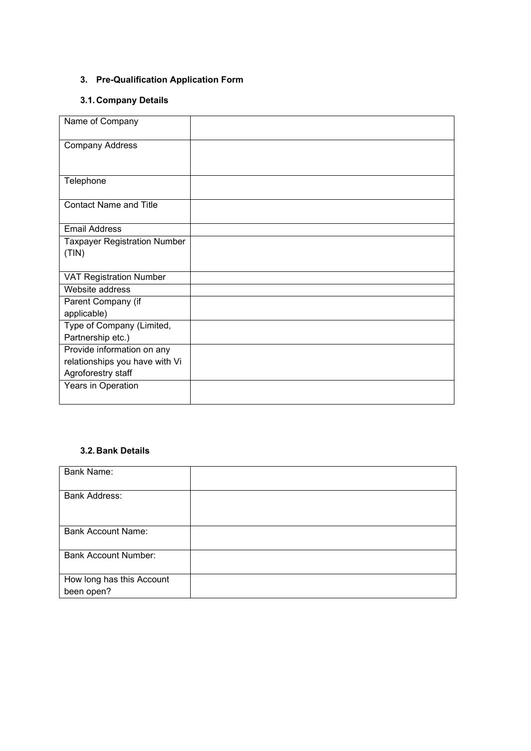## <span id="page-4-0"></span>**3. Pre-Qualification Application Form**

### <span id="page-4-1"></span>**3.1. Company Details**

| Name of Company                              |  |
|----------------------------------------------|--|
| <b>Company Address</b>                       |  |
| Telephone                                    |  |
| <b>Contact Name and Title</b>                |  |
| <b>Email Address</b>                         |  |
| <b>Taxpayer Registration Number</b><br>(TIN) |  |
|                                              |  |
| <b>VAT Registration Number</b>               |  |
| Website address                              |  |
| Parent Company (if                           |  |
| applicable)                                  |  |
| Type of Company (Limited,                    |  |
| Partnership etc.)                            |  |
| Provide information on any                   |  |
| relationships you have with Vi               |  |
| Agroforestry staff                           |  |
| Years in Operation                           |  |

### <span id="page-4-2"></span>**3.2. Bank Details**

| <b>Bank Name:</b>                       |  |
|-----------------------------------------|--|
| Bank Address:                           |  |
| <b>Bank Account Name:</b>               |  |
| <b>Bank Account Number:</b>             |  |
| How long has this Account<br>been open? |  |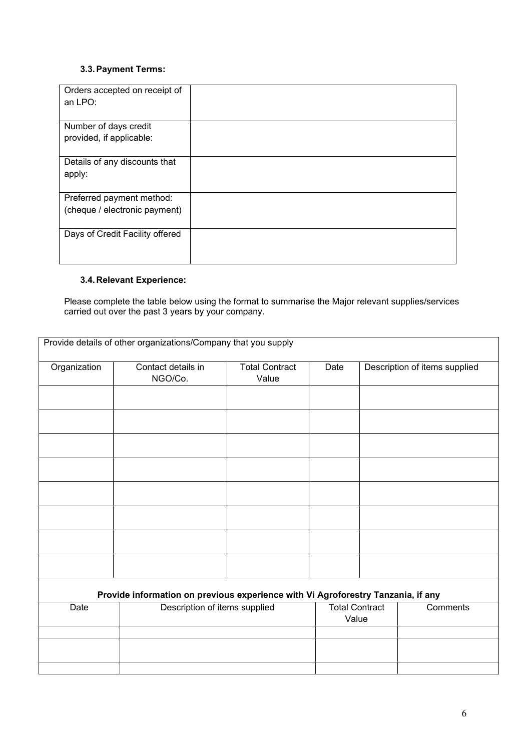### <span id="page-5-0"></span>**3.3.Payment Terms:**

| Orders accepted on receipt of<br>an LPO:          |  |
|---------------------------------------------------|--|
| Number of days credit<br>provided, if applicable: |  |
| Details of any discounts that<br>apply:           |  |
| Preferred payment method:                         |  |
| (cheque / electronic payment)                     |  |
| Days of Credit Facility offered                   |  |

## <span id="page-5-1"></span>**3.4. Relevant Experience:**

Please complete the table below using the format to summarise the Major relevant supplies/services carried out over the past 3 years by your company.

| Organization | Contact details in<br>NGO/Co.                                                                                     | <b>Total Contract</b><br>Value | Date                  | Description of items supplied |
|--------------|-------------------------------------------------------------------------------------------------------------------|--------------------------------|-----------------------|-------------------------------|
|              |                                                                                                                   |                                |                       |                               |
|              |                                                                                                                   |                                |                       |                               |
|              |                                                                                                                   |                                |                       |                               |
|              |                                                                                                                   |                                |                       |                               |
|              |                                                                                                                   |                                |                       |                               |
|              |                                                                                                                   |                                |                       |                               |
|              |                                                                                                                   |                                |                       |                               |
|              |                                                                                                                   |                                |                       |                               |
|              |                                                                                                                   |                                |                       |                               |
|              |                                                                                                                   |                                |                       |                               |
|              |                                                                                                                   |                                |                       |                               |
|              |                                                                                                                   |                                |                       |                               |
|              |                                                                                                                   |                                |                       |                               |
| Date         | Provide information on previous experience with Vi Agroforestry Tanzania, if any<br>Description of items supplied |                                | <b>Total Contract</b> | Comments                      |
|              |                                                                                                                   |                                | Value                 |                               |
|              |                                                                                                                   |                                |                       |                               |
|              |                                                                                                                   |                                |                       |                               |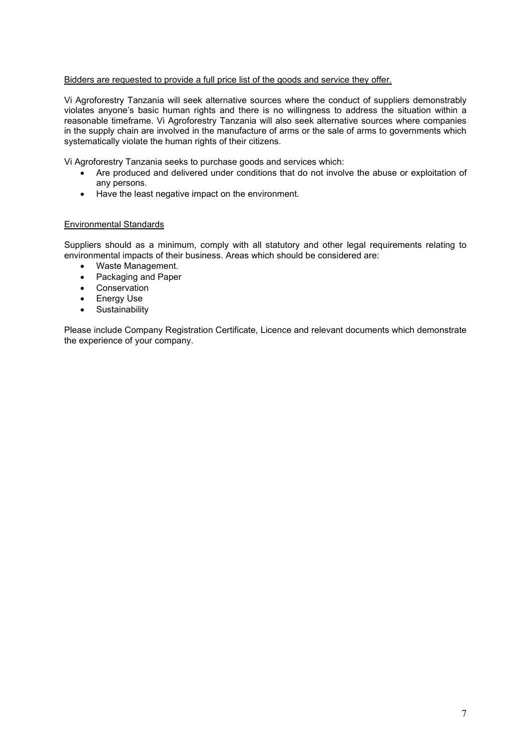#### Bidders are requested to provide a full price list of the goods and service they offer.

Vi Agroforestry Tanzania will seek alternative sources where the conduct of suppliers demonstrably violates anyone's basic human rights and there is no willingness to address the situation within a reasonable timeframe. Vi Agroforestry Tanzania will also seek alternative sources where companies in the supply chain are involved in the manufacture of arms or the sale of arms to governments which systematically violate the human rights of their citizens.

Vi Agroforestry Tanzania seeks to purchase goods and services which:

- Are produced and delivered under conditions that do not involve the abuse or exploitation of any persons.
- Have the least negative impact on the environment.

#### Environmental Standards

Suppliers should as a minimum, comply with all statutory and other legal requirements relating to environmental impacts of their business. Areas which should be considered are:

- Waste Management.
- Packaging and Paper
- Conservation
- Energy Use
- Sustainability

Please include Company Registration Certificate, Licence and relevant documents which demonstrate the experience of your company.